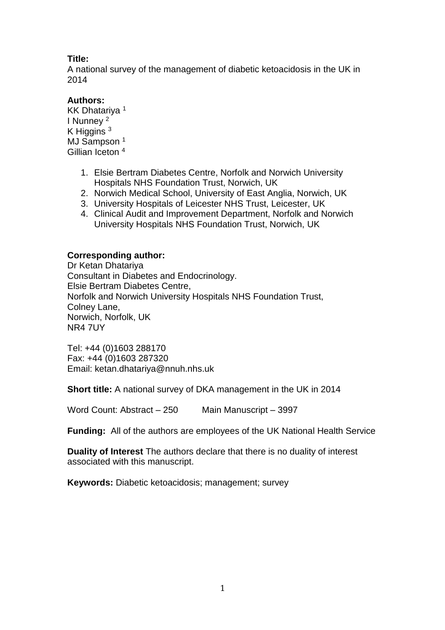## **Title:**

A national survey of the management of diabetic ketoacidosis in the UK in 2014

## **Authors:**

KK Dhatariya <sup>1</sup> I Nunney <sup>2</sup> K Higgins<sup>3</sup> MJ Sampson<sup>1</sup> Gillian Iceton <sup>4</sup>

- 1. Elsie Bertram Diabetes Centre, Norfolk and Norwich University Hospitals NHS Foundation Trust, Norwich, UK
- 2. Norwich Medical School, University of East Anglia, Norwich, UK
- 3. University Hospitals of Leicester NHS Trust, Leicester, UK
- 4. Clinical Audit and Improvement Department, Norfolk and Norwich University Hospitals NHS Foundation Trust, Norwich, UK

## **Corresponding author:**

Dr Ketan Dhatariya Consultant in Diabetes and Endocrinology. Elsie Bertram Diabetes Centre, Norfolk and Norwich University Hospitals NHS Foundation Trust, Colney Lane, Norwich, Norfolk, UK NR4 7UY

Tel: +44 (0)1603 288170 Fax: +44 (0)1603 287320 Email: ketan.dhatariya@nnuh.nhs.uk

**Short title:** A national survey of DKA management in the UK in 2014

Word Count: Abstract – 250 Main Manuscript – 3997

**Funding:** All of the authors are employees of the UK National Health Service

**Duality of Interest** The authors declare that there is no duality of interest associated with this manuscript.

**Keywords:** Diabetic ketoacidosis; management; survey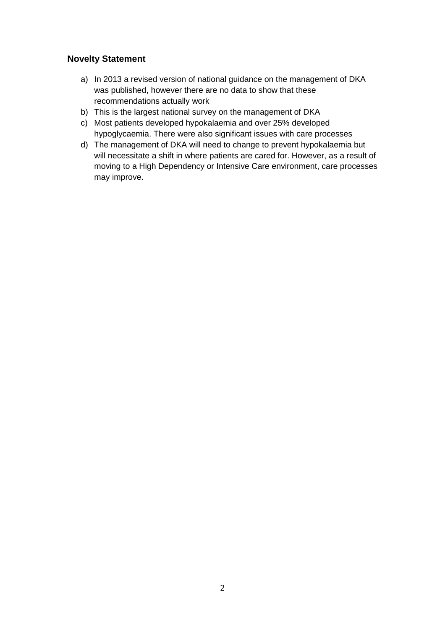## **Novelty Statement**

- a) In 2013 a revised version of national guidance on the management of DKA was published, however there are no data to show that these recommendations actually work
- b) This is the largest national survey on the management of DKA
- c) Most patients developed hypokalaemia and over 25% developed hypoglycaemia. There were also significant issues with care processes
- d) The management of DKA will need to change to prevent hypokalaemia but will necessitate a shift in where patients are cared for. However, as a result of moving to a High Dependency or Intensive Care environment, care processes may improve.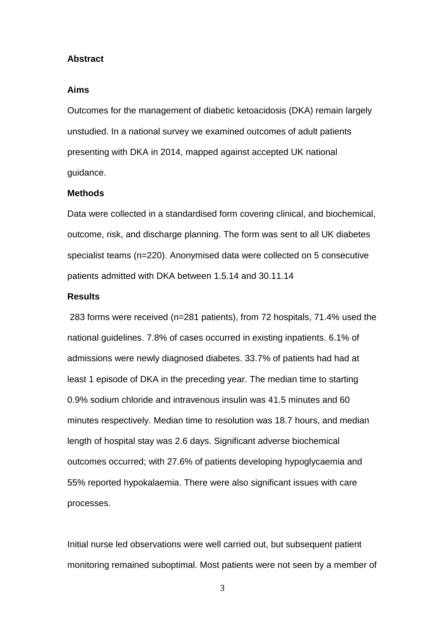#### **Abstract**

### **Aims**

Outcomes for the management of diabetic ketoacidosis (DKA) remain largely unstudied. In a national survey we examined outcomes of adult patients presenting with DKA in 2014, mapped against accepted UK national guidance.

#### **Methods**

Data were collected in a standardised form covering clinical, and biochemical, outcome, risk, and discharge planning. The form was sent to all UK diabetes specialist teams (n=220). Anonymised data were collected on 5 consecutive patients admitted with DKA between 1.5.14 and 30.11.14

### **Results**

283 forms were received (n=281 patients), from 72 hospitals, 71.4% used the national guidelines. 7.8% of cases occurred in existing inpatients. 6.1% of admissions were newly diagnosed diabetes. 33.7% of patients had had at least 1 episode of DKA in the preceding year. The median time to starting 0.9% sodium chloride and intravenous insulin was 41.5 minutes and 60 minutes respectively. Median time to resolution was 18.7 hours, and median length of hospital stay was 2.6 days. Significant adverse biochemical outcomes occurred; with 27.6% of patients developing hypoglycaemia and 55% reported hypokalaemia. There were also significant issues with care processes.

Initial nurse led observations were well carried out, but subsequent patient monitoring remained suboptimal. Most patients were not seen by a member of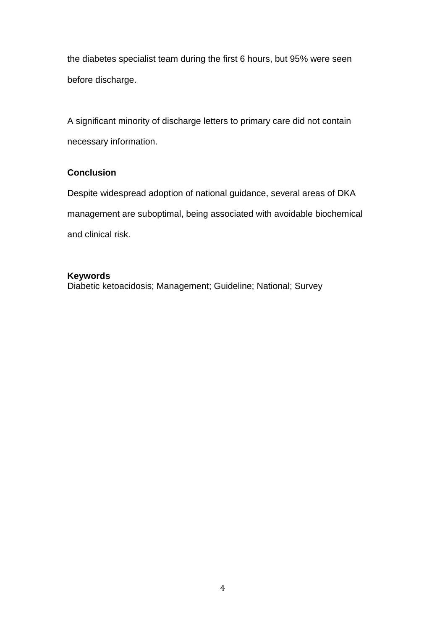the diabetes specialist team during the first 6 hours, but 95% were seen before discharge.

A significant minority of discharge letters to primary care did not contain necessary information.

## **Conclusion**

Despite widespread adoption of national guidance, several areas of DKA management are suboptimal, being associated with avoidable biochemical and clinical risk.

### **Keywords**

Diabetic ketoacidosis; Management; Guideline; National; Survey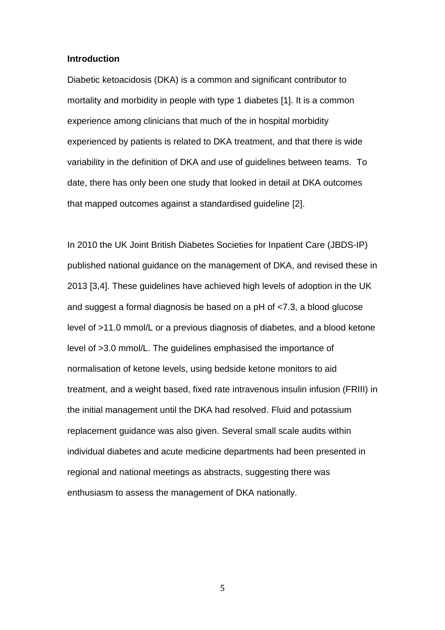### **Introduction**

Diabetic ketoacidosis (DKA) is a common and significant contributor to mortality and morbidity in people with type 1 diabetes [1]. It is a common experience among clinicians that much of the in hospital morbidity experienced by patients is related to DKA treatment, and that there is wide variability in the definition of DKA and use of guidelines between teams. To date, there has only been one study that looked in detail at DKA outcomes that mapped outcomes against a standardised guideline [2].

In 2010 the UK Joint British Diabetes Societies for Inpatient Care (JBDS-IP) published national guidance on the management of DKA, and revised these in 2013 [3,4]. These guidelines have achieved high levels of adoption in the UK and suggest a formal diagnosis be based on a pH of <7.3, a blood glucose level of >11.0 mmol/L or a previous diagnosis of diabetes, and a blood ketone level of >3.0 mmol/L. The guidelines emphasised the importance of normalisation of ketone levels, using bedside ketone monitors to aid treatment, and a weight based, fixed rate intravenous insulin infusion (FRIII) in the initial management until the DKA had resolved. Fluid and potassium replacement guidance was also given. Several small scale audits within individual diabetes and acute medicine departments had been presented in regional and national meetings as abstracts, suggesting there was enthusiasm to assess the management of DKA nationally.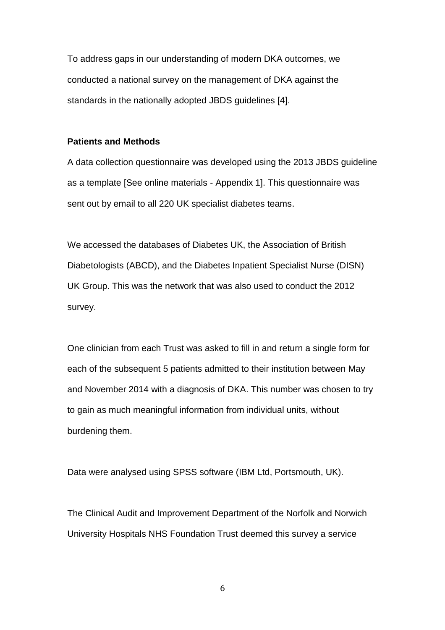To address gaps in our understanding of modern DKA outcomes, we conducted a national survey on the management of DKA against the standards in the nationally adopted JBDS guidelines [4].

### **Patients and Methods**

A data collection questionnaire was developed using the 2013 JBDS guideline as a template [See online materials - Appendix 1]. This questionnaire was sent out by email to all 220 UK specialist diabetes teams.

We accessed the databases of Diabetes UK, the Association of British Diabetologists (ABCD), and the Diabetes Inpatient Specialist Nurse (DISN) UK Group. This was the network that was also used to conduct the 2012 survey.

One clinician from each Trust was asked to fill in and return a single form for each of the subsequent 5 patients admitted to their institution between May and November 2014 with a diagnosis of DKA. This number was chosen to try to gain as much meaningful information from individual units, without burdening them.

Data were analysed using SPSS software (IBM Ltd, Portsmouth, UK).

The Clinical Audit and Improvement Department of the Norfolk and Norwich University Hospitals NHS Foundation Trust deemed this survey a service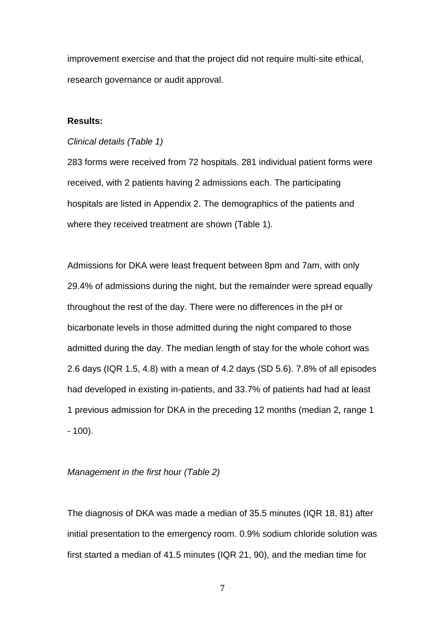improvement exercise and that the project did not require multi-site ethical, research governance or audit approval.

### **Results:**

#### *Clinical details (Table 1)*

283 forms were received from 72 hospitals. 281 individual patient forms were received, with 2 patients having 2 admissions each. The participating hospitals are listed in Appendix 2. The demographics of the patients and where they received treatment are shown (Table 1).

Admissions for DKA were least frequent between 8pm and 7am, with only 29.4% of admissions during the night, but the remainder were spread equally throughout the rest of the day. There were no differences in the pH or bicarbonate levels in those admitted during the night compared to those admitted during the day. The median length of stay for the whole cohort was 2.6 days (IQR 1.5, 4.8) with a mean of 4.2 days (SD 5.6). 7.8% of all episodes had developed in existing in-patients, and 33.7% of patients had had at least 1 previous admission for DKA in the preceding 12 months (median 2, range 1 - 100).

### *Management in the first hour (Table 2)*

The diagnosis of DKA was made a median of 35.5 minutes (IQR 18, 81) after initial presentation to the emergency room. 0.9% sodium chloride solution was first started a median of 41.5 minutes (IQR 21, 90), and the median time for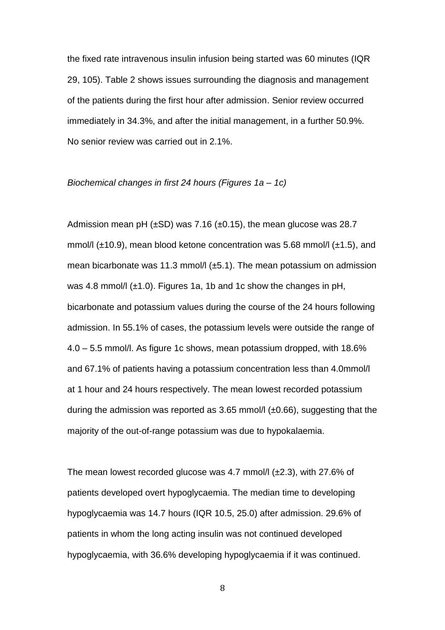the fixed rate intravenous insulin infusion being started was 60 minutes (IQR 29, 105). Table 2 shows issues surrounding the diagnosis and management of the patients during the first hour after admission. Senior review occurred immediately in 34.3%, and after the initial management, in a further 50.9%. No senior review was carried out in 2.1%.

#### *Biochemical changes in first 24 hours (Figures 1a – 1c)*

Admission mean pH  $(\pm SD)$  was 7.16 ( $\pm 0.15$ ), the mean glucose was 28.7 mmol/l  $(\pm 10.9)$ , mean blood ketone concentration was 5.68 mmol/l  $(\pm 1.5)$ , and mean bicarbonate was 11.3 mmol/l  $(\pm 5.1)$ . The mean potassium on admission was 4.8 mmol/ $(±1.0)$ . Figures 1a, 1b and 1c show the changes in pH, bicarbonate and potassium values during the course of the 24 hours following admission. In 55.1% of cases, the potassium levels were outside the range of 4.0 – 5.5 mmol/l. As figure 1c shows, mean potassium dropped, with 18.6% and 67.1% of patients having a potassium concentration less than 4.0mmol/l at 1 hour and 24 hours respectively. The mean lowest recorded potassium during the admission was reported as 3.65 mmol/l  $(\pm 0.66)$ , suggesting that the majority of the out-of-range potassium was due to hypokalaemia.

The mean lowest recorded glucose was 4.7 mmol/l  $(\pm 2.3)$ , with 27.6% of patients developed overt hypoglycaemia. The median time to developing hypoglycaemia was 14.7 hours (IQR 10.5, 25.0) after admission. 29.6% of patients in whom the long acting insulin was not continued developed hypoglycaemia, with 36.6% developing hypoglycaemia if it was continued.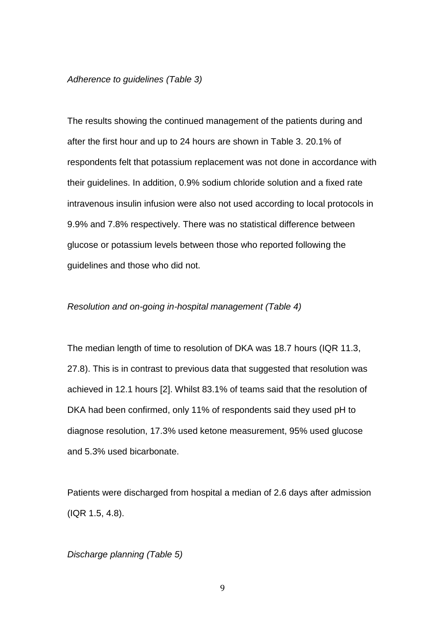#### *Adherence to guidelines (Table 3)*

The results showing the continued management of the patients during and after the first hour and up to 24 hours are shown in Table 3. 20.1% of respondents felt that potassium replacement was not done in accordance with their guidelines. In addition, 0.9% sodium chloride solution and a fixed rate intravenous insulin infusion were also not used according to local protocols in 9.9% and 7.8% respectively. There was no statistical difference between glucose or potassium levels between those who reported following the guidelines and those who did not.

### *Resolution and on-going in-hospital management (Table 4)*

The median length of time to resolution of DKA was 18.7 hours (IQR 11.3, 27.8). This is in contrast to previous data that suggested that resolution was achieved in 12.1 hours [2]. Whilst 83.1% of teams said that the resolution of DKA had been confirmed, only 11% of respondents said they used pH to diagnose resolution, 17.3% used ketone measurement, 95% used glucose and 5.3% used bicarbonate.

Patients were discharged from hospital a median of 2.6 days after admission (IQR 1.5, 4.8).

#### *Discharge planning (Table 5)*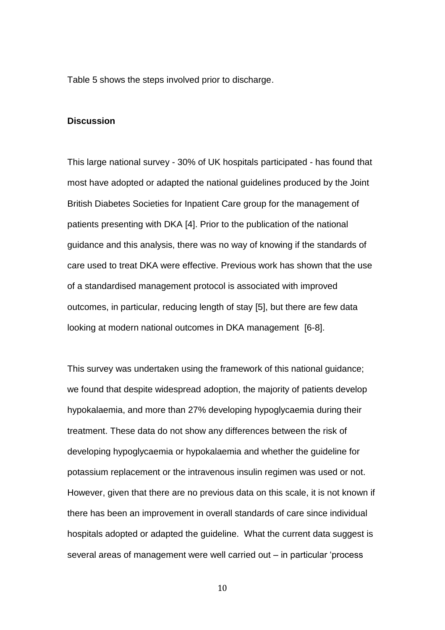Table 5 shows the steps involved prior to discharge.

### **Discussion**

This large national survey - 30% of UK hospitals participated - has found that most have adopted or adapted the national guidelines produced by the Joint British Diabetes Societies for Inpatient Care group for the management of patients presenting with DKA [4]. Prior to the publication of the national guidance and this analysis, there was no way of knowing if the standards of care used to treat DKA were effective. Previous work has shown that the use of a standardised management protocol is associated with improved outcomes, in particular, reducing length of stay [5], but there are few data looking at modern national outcomes in DKA management [6-8].

This survey was undertaken using the framework of this national guidance; we found that despite widespread adoption, the majority of patients develop hypokalaemia, and more than 27% developing hypoglycaemia during their treatment. These data do not show any differences between the risk of developing hypoglycaemia or hypokalaemia and whether the guideline for potassium replacement or the intravenous insulin regimen was used or not. However, given that there are no previous data on this scale, it is not known if there has been an improvement in overall standards of care since individual hospitals adopted or adapted the guideline. What the current data suggest is several areas of management were well carried out – in particular 'process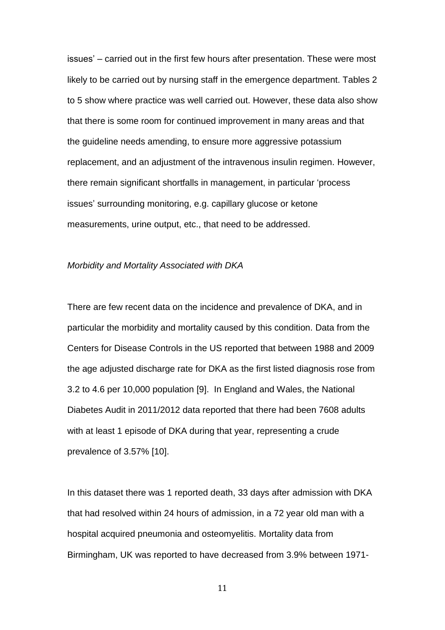issues' – carried out in the first few hours after presentation. These were most likely to be carried out by nursing staff in the emergence department. Tables 2 to 5 show where practice was well carried out. However, these data also show that there is some room for continued improvement in many areas and that the guideline needs amending, to ensure more aggressive potassium replacement, and an adjustment of the intravenous insulin regimen. However, there remain significant shortfalls in management, in particular 'process issues' surrounding monitoring, e.g. capillary glucose or ketone measurements, urine output, etc., that need to be addressed.

### *Morbidity and Mortality Associated with DKA*

There are few recent data on the incidence and prevalence of DKA, and in particular the morbidity and mortality caused by this condition. Data from the Centers for Disease Controls in the US reported that between 1988 and 2009 the age adjusted discharge rate for DKA as the first listed diagnosis rose from 3.2 to 4.6 per 10,000 population [9]. In England and Wales, the National Diabetes Audit in 2011/2012 data reported that there had been 7608 adults with at least 1 episode of DKA during that year, representing a crude prevalence of 3.57% [10].

In this dataset there was 1 reported death, 33 days after admission with DKA that had resolved within 24 hours of admission, in a 72 year old man with a hospital acquired pneumonia and osteomyelitis. Mortality data from Birmingham, UK was reported to have decreased from 3.9% between 1971-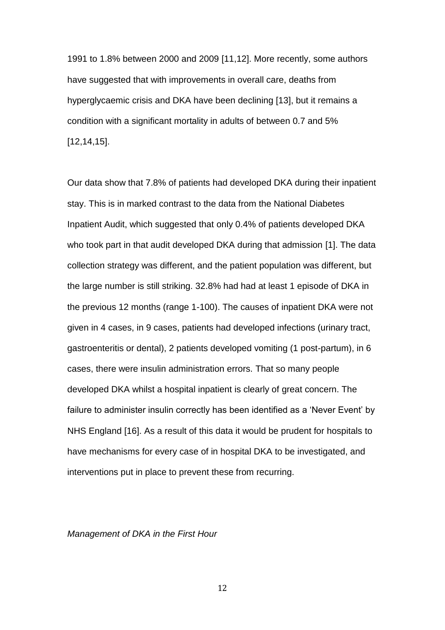1991 to 1.8% between 2000 and 2009 [11,12]. More recently, some authors have suggested that with improvements in overall care, deaths from hyperglycaemic crisis and DKA have been declining [13], but it remains a condition with a significant mortality in adults of between 0.7 and 5% [12,14,15].

Our data show that 7.8% of patients had developed DKA during their inpatient stay. This is in marked contrast to the data from the National Diabetes Inpatient Audit, which suggested that only 0.4% of patients developed DKA who took part in that audit developed DKA during that admission [1]. The data collection strategy was different, and the patient population was different, but the large number is still striking. 32.8% had had at least 1 episode of DKA in the previous 12 months (range 1-100). The causes of inpatient DKA were not given in 4 cases, in 9 cases, patients had developed infections (urinary tract, gastroenteritis or dental), 2 patients developed vomiting (1 post-partum), in 6 cases, there were insulin administration errors. That so many people developed DKA whilst a hospital inpatient is clearly of great concern. The failure to administer insulin correctly has been identified as a 'Never Event' by NHS England [16]. As a result of this data it would be prudent for hospitals to have mechanisms for every case of in hospital DKA to be investigated, and interventions put in place to prevent these from recurring.

#### *Management of DKA in the First Hour*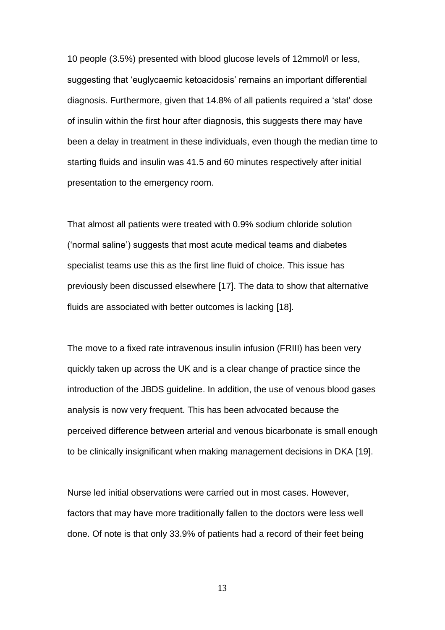10 people (3.5%) presented with blood glucose levels of 12mmol/l or less, suggesting that 'euglycaemic ketoacidosis' remains an important differential diagnosis. Furthermore, given that 14.8% of all patients required a 'stat' dose of insulin within the first hour after diagnosis, this suggests there may have been a delay in treatment in these individuals, even though the median time to starting fluids and insulin was 41.5 and 60 minutes respectively after initial presentation to the emergency room.

That almost all patients were treated with 0.9% sodium chloride solution ('normal saline') suggests that most acute medical teams and diabetes specialist teams use this as the first line fluid of choice. This issue has previously been discussed elsewhere [17]. The data to show that alternative fluids are associated with better outcomes is lacking [18].

The move to a fixed rate intravenous insulin infusion (FRIII) has been very quickly taken up across the UK and is a clear change of practice since the introduction of the JBDS guideline. In addition, the use of venous blood gases analysis is now very frequent. This has been advocated because the perceived difference between arterial and venous bicarbonate is small enough to be clinically insignificant when making management decisions in DKA [19].

Nurse led initial observations were carried out in most cases. However, factors that may have more traditionally fallen to the doctors were less well done. Of note is that only 33.9% of patients had a record of their feet being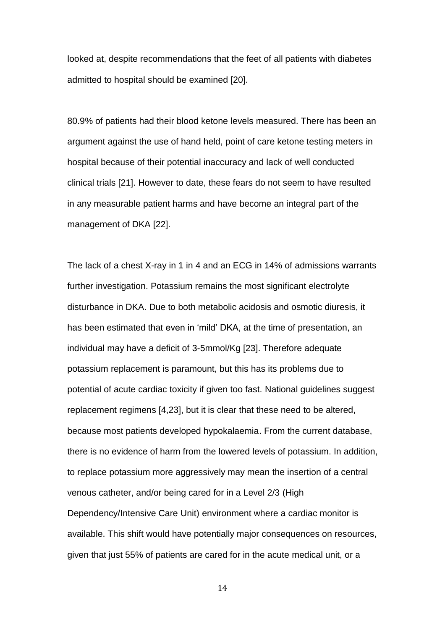looked at, despite recommendations that the feet of all patients with diabetes admitted to hospital should be examined [20].

80.9% of patients had their blood ketone levels measured. There has been an argument against the use of hand held, point of care ketone testing meters in hospital because of their potential inaccuracy and lack of well conducted clinical trials [21]. However to date, these fears do not seem to have resulted in any measurable patient harms and have become an integral part of the management of DKA [22].

The lack of a chest X-ray in 1 in 4 and an ECG in 14% of admissions warrants further investigation. Potassium remains the most significant electrolyte disturbance in DKA. Due to both metabolic acidosis and osmotic diuresis, it has been estimated that even in 'mild' DKA, at the time of presentation, an individual may have a deficit of 3-5mmol/Kg [23]. Therefore adequate potassium replacement is paramount, but this has its problems due to potential of acute cardiac toxicity if given too fast. National guidelines suggest replacement regimens [4,23], but it is clear that these need to be altered, because most patients developed hypokalaemia. From the current database, there is no evidence of harm from the lowered levels of potassium. In addition, to replace potassium more aggressively may mean the insertion of a central venous catheter, and/or being cared for in a Level 2/3 (High Dependency/Intensive Care Unit) environment where a cardiac monitor is available. This shift would have potentially major consequences on resources, given that just 55% of patients are cared for in the acute medical unit, or a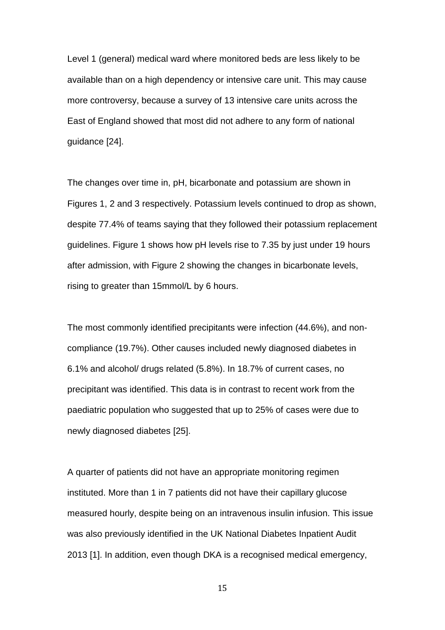Level 1 (general) medical ward where monitored beds are less likely to be available than on a high dependency or intensive care unit. This may cause more controversy, because a survey of 13 intensive care units across the East of England showed that most did not adhere to any form of national guidance [24].

The changes over time in, pH, bicarbonate and potassium are shown in Figures 1, 2 and 3 respectively. Potassium levels continued to drop as shown, despite 77.4% of teams saying that they followed their potassium replacement guidelines. Figure 1 shows how pH levels rise to 7.35 by just under 19 hours after admission, with Figure 2 showing the changes in bicarbonate levels, rising to greater than 15mmol/L by 6 hours.

The most commonly identified precipitants were infection (44.6%), and noncompliance (19.7%). Other causes included newly diagnosed diabetes in 6.1% and alcohol/ drugs related (5.8%). In 18.7% of current cases, no precipitant was identified. This data is in contrast to recent work from the paediatric population who suggested that up to 25% of cases were due to newly diagnosed diabetes [25].

A quarter of patients did not have an appropriate monitoring regimen instituted. More than 1 in 7 patients did not have their capillary glucose measured hourly, despite being on an intravenous insulin infusion. This issue was also previously identified in the UK National Diabetes Inpatient Audit 2013 [1]. In addition, even though DKA is a recognised medical emergency,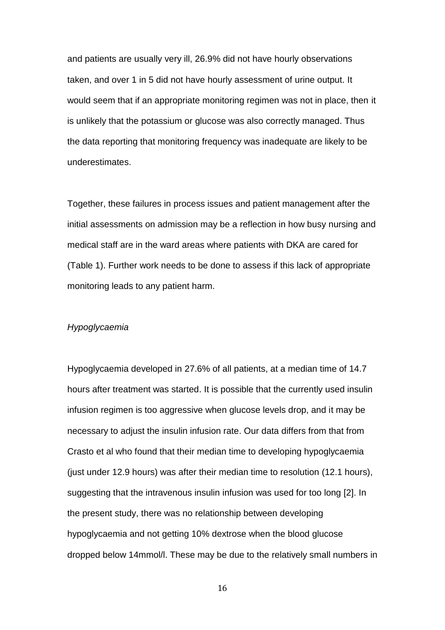and patients are usually very ill, 26.9% did not have hourly observations taken, and over 1 in 5 did not have hourly assessment of urine output. It would seem that if an appropriate monitoring regimen was not in place, then it is unlikely that the potassium or glucose was also correctly managed. Thus the data reporting that monitoring frequency was inadequate are likely to be underestimates.

Together, these failures in process issues and patient management after the initial assessments on admission may be a reflection in how busy nursing and medical staff are in the ward areas where patients with DKA are cared for (Table 1). Further work needs to be done to assess if this lack of appropriate monitoring leads to any patient harm.

#### *Hypoglycaemia*

Hypoglycaemia developed in 27.6% of all patients, at a median time of 14.7 hours after treatment was started. It is possible that the currently used insulin infusion regimen is too aggressive when glucose levels drop, and it may be necessary to adjust the insulin infusion rate. Our data differs from that from Crasto et al who found that their median time to developing hypoglycaemia (just under 12.9 hours) was after their median time to resolution (12.1 hours), suggesting that the intravenous insulin infusion was used for too long [2]. In the present study, there was no relationship between developing hypoglycaemia and not getting 10% dextrose when the blood glucose dropped below 14mmol/l. These may be due to the relatively small numbers in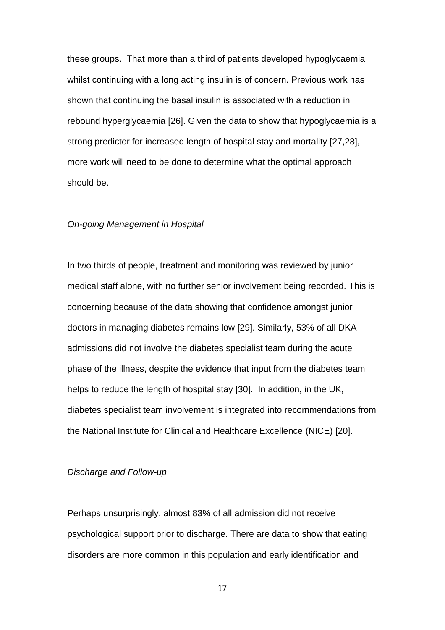these groups. That more than a third of patients developed hypoglycaemia whilst continuing with a long acting insulin is of concern. Previous work has shown that continuing the basal insulin is associated with a reduction in rebound hyperglycaemia [26]. Given the data to show that hypoglycaemia is a strong predictor for increased length of hospital stay and mortality [27,28], more work will need to be done to determine what the optimal approach should be.

#### *On-going Management in Hospital*

In two thirds of people, treatment and monitoring was reviewed by junior medical staff alone, with no further senior involvement being recorded. This is concerning because of the data showing that confidence amongst junior doctors in managing diabetes remains low [29]. Similarly, 53% of all DKA admissions did not involve the diabetes specialist team during the acute phase of the illness, despite the evidence that input from the diabetes team helps to reduce the length of hospital stay [30]. In addition, in the UK, diabetes specialist team involvement is integrated into recommendations from the National Institute for Clinical and Healthcare Excellence (NICE) [20].

#### *Discharge and Follow-up*

Perhaps unsurprisingly, almost 83% of all admission did not receive psychological support prior to discharge. There are data to show that eating disorders are more common in this population and early identification and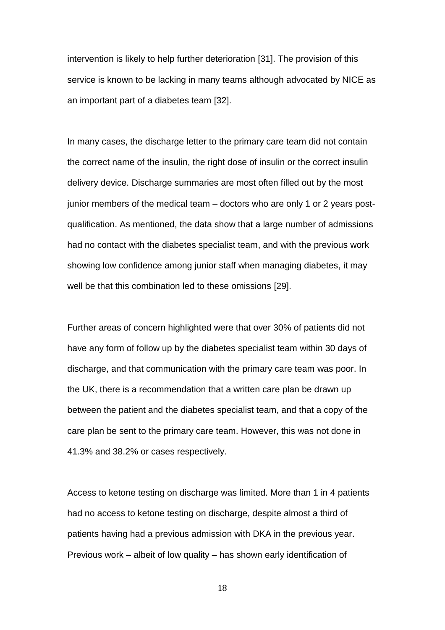intervention is likely to help further deterioration [31]. The provision of this service is known to be lacking in many teams although advocated by NICE as an important part of a diabetes team [32].

In many cases, the discharge letter to the primary care team did not contain the correct name of the insulin, the right dose of insulin or the correct insulin delivery device. Discharge summaries are most often filled out by the most junior members of the medical team – doctors who are only 1 or 2 years postqualification. As mentioned, the data show that a large number of admissions had no contact with the diabetes specialist team, and with the previous work showing low confidence among junior staff when managing diabetes, it may well be that this combination led to these omissions [29].

Further areas of concern highlighted were that over 30% of patients did not have any form of follow up by the diabetes specialist team within 30 days of discharge, and that communication with the primary care team was poor. In the UK, there is a recommendation that a written care plan be drawn up between the patient and the diabetes specialist team, and that a copy of the care plan be sent to the primary care team. However, this was not done in 41.3% and 38.2% or cases respectively.

Access to ketone testing on discharge was limited. More than 1 in 4 patients had no access to ketone testing on discharge, despite almost a third of patients having had a previous admission with DKA in the previous year. Previous work – albeit of low quality – has shown early identification of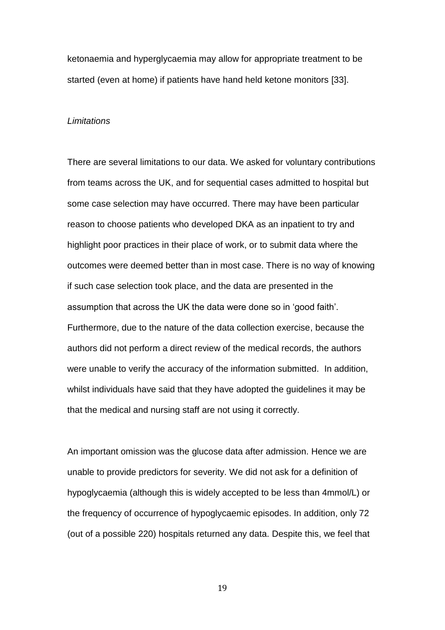ketonaemia and hyperglycaemia may allow for appropriate treatment to be started (even at home) if patients have hand held ketone monitors [33].

#### *Limitations*

There are several limitations to our data. We asked for voluntary contributions from teams across the UK, and for sequential cases admitted to hospital but some case selection may have occurred. There may have been particular reason to choose patients who developed DKA as an inpatient to try and highlight poor practices in their place of work, or to submit data where the outcomes were deemed better than in most case. There is no way of knowing if such case selection took place, and the data are presented in the assumption that across the UK the data were done so in 'good faith'. Furthermore, due to the nature of the data collection exercise, because the authors did not perform a direct review of the medical records, the authors were unable to verify the accuracy of the information submitted. In addition, whilst individuals have said that they have adopted the guidelines it may be that the medical and nursing staff are not using it correctly.

An important omission was the glucose data after admission. Hence we are unable to provide predictors for severity. We did not ask for a definition of hypoglycaemia (although this is widely accepted to be less than 4mmol/L) or the frequency of occurrence of hypoglycaemic episodes. In addition, only 72 (out of a possible 220) hospitals returned any data. Despite this, we feel that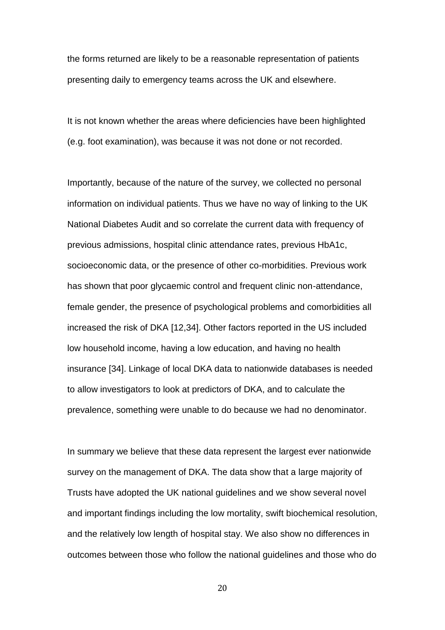the forms returned are likely to be a reasonable representation of patients presenting daily to emergency teams across the UK and elsewhere.

It is not known whether the areas where deficiencies have been highlighted (e.g. foot examination), was because it was not done or not recorded.

Importantly, because of the nature of the survey, we collected no personal information on individual patients. Thus we have no way of linking to the UK National Diabetes Audit and so correlate the current data with frequency of previous admissions, hospital clinic attendance rates, previous HbA1c, socioeconomic data, or the presence of other co-morbidities. Previous work has shown that poor glycaemic control and frequent clinic non-attendance, female gender, the presence of psychological problems and comorbidities all increased the risk of DKA [12,34]. Other factors reported in the US included low household income, having a low education, and having no health insurance [34]. Linkage of local DKA data to nationwide databases is needed to allow investigators to look at predictors of DKA, and to calculate the prevalence, something were unable to do because we had no denominator.

In summary we believe that these data represent the largest ever nationwide survey on the management of DKA. The data show that a large majority of Trusts have adopted the UK national guidelines and we show several novel and important findings including the low mortality, swift biochemical resolution, and the relatively low length of hospital stay. We also show no differences in outcomes between those who follow the national guidelines and those who do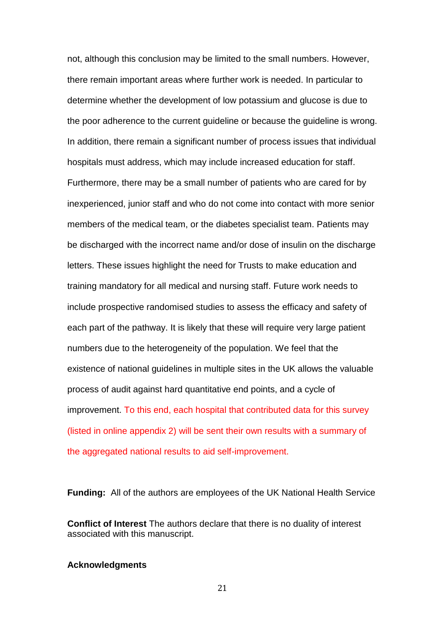not, although this conclusion may be limited to the small numbers. However, there remain important areas where further work is needed. In particular to determine whether the development of low potassium and glucose is due to the poor adherence to the current guideline or because the guideline is wrong. In addition, there remain a significant number of process issues that individual hospitals must address, which may include increased education for staff. Furthermore, there may be a small number of patients who are cared for by inexperienced, junior staff and who do not come into contact with more senior members of the medical team, or the diabetes specialist team. Patients may be discharged with the incorrect name and/or dose of insulin on the discharge letters. These issues highlight the need for Trusts to make education and training mandatory for all medical and nursing staff. Future work needs to include prospective randomised studies to assess the efficacy and safety of each part of the pathway. It is likely that these will require very large patient numbers due to the heterogeneity of the population. We feel that the existence of national guidelines in multiple sites in the UK allows the valuable process of audit against hard quantitative end points, and a cycle of improvement. To this end, each hospital that contributed data for this survey (listed in online appendix 2) will be sent their own results with a summary of the aggregated national results to aid self-improvement.

**Funding:** All of the authors are employees of the UK National Health Service

**Conflict of Interest** The authors declare that there is no duality of interest associated with this manuscript.

#### **Acknowledgments**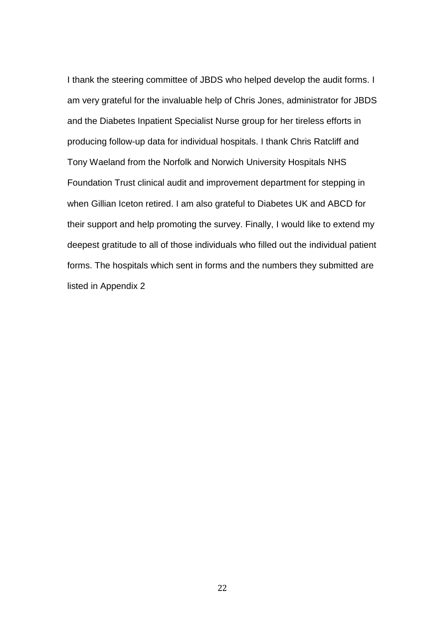I thank the steering committee of JBDS who helped develop the audit forms. I am very grateful for the invaluable help of Chris Jones, administrator for JBDS and the Diabetes Inpatient Specialist Nurse group for her tireless efforts in producing follow-up data for individual hospitals. I thank Chris Ratcliff and Tony Waeland from the Norfolk and Norwich University Hospitals NHS Foundation Trust clinical audit and improvement department for stepping in when Gillian Iceton retired. I am also grateful to Diabetes UK and ABCD for their support and help promoting the survey. Finally, I would like to extend my deepest gratitude to all of those individuals who filled out the individual patient forms. The hospitals which sent in forms and the numbers they submitted are listed in Appendix 2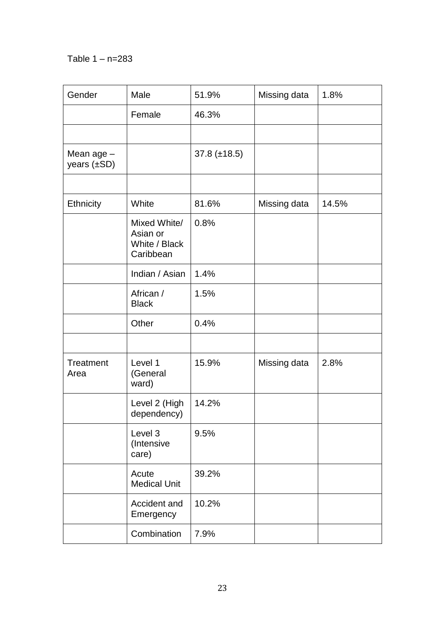# Table 1 – n=283

| Gender                         | Male                                                   | 51.9%               | Missing data | 1.8%  |
|--------------------------------|--------------------------------------------------------|---------------------|--------------|-------|
|                                | Female                                                 | 46.3%               |              |       |
|                                |                                                        |                     |              |       |
| Mean age -<br>years $(\pm SD)$ |                                                        | $37.8 \ (\pm 18.5)$ |              |       |
|                                |                                                        |                     |              |       |
| Ethnicity                      | White                                                  | 81.6%               | Missing data | 14.5% |
|                                | Mixed White/<br>Asian or<br>White / Black<br>Caribbean | 0.8%                |              |       |
|                                | Indian / Asian                                         | 1.4%                |              |       |
|                                | African /<br><b>Black</b>                              | 1.5%                |              |       |
|                                | Other                                                  | 0.4%                |              |       |
|                                |                                                        |                     |              |       |
| Treatment<br>Area              | Level 1<br>(General<br>ward)                           | 15.9%               | Missing data | 2.8%  |
|                                | Level 2 (High<br>dependency)                           | 14.2%               |              |       |
|                                | Level 3<br>(Intensive<br>care)                         | 9.5%                |              |       |
|                                | Acute<br><b>Medical Unit</b>                           | 39.2%               |              |       |
|                                | Accident and<br>Emergency                              | 10.2%               |              |       |
|                                | Combination                                            | 7.9%                |              |       |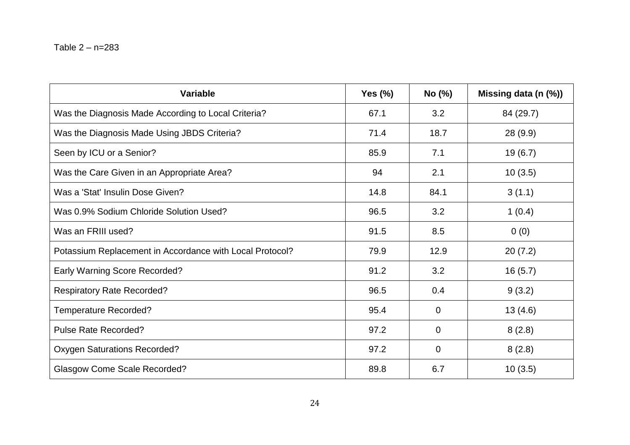| <b>Variable</b>                                          | <b>Yes (%)</b> | No (%)      | Missing data (n (%)) |
|----------------------------------------------------------|----------------|-------------|----------------------|
| Was the Diagnosis Made According to Local Criteria?      | 67.1           | 3.2         | 84 (29.7)            |
| Was the Diagnosis Made Using JBDS Criteria?              | 71.4           | 18.7        | 28 (9.9)             |
| Seen by ICU or a Senior?                                 | 85.9           | 7.1         | 19(6.7)              |
| Was the Care Given in an Appropriate Area?               | 94             | 2.1         | 10(3.5)              |
| Was a 'Stat' Insulin Dose Given?                         | 14.8           | 84.1        | 3(1.1)               |
| Was 0.9% Sodium Chloride Solution Used?                  | 96.5           | 3.2         | 1(0.4)               |
| Was an FRIII used?                                       | 91.5           | 8.5         | 0(0)                 |
| Potassium Replacement in Accordance with Local Protocol? | 79.9           | 12.9        | 20(7.2)              |
| <b>Early Warning Score Recorded?</b>                     | 91.2           | 3.2         | 16(5.7)              |
| <b>Respiratory Rate Recorded?</b>                        | 96.5           | 0.4         | 9(3.2)               |
| <b>Temperature Recorded?</b>                             | 95.4           | $\mathbf 0$ | 13(4.6)              |
| Pulse Rate Recorded?                                     | 97.2           | $\Omega$    | 8(2.8)               |
| <b>Oxygen Saturations Recorded?</b>                      | 97.2           | $\mathbf 0$ | 8(2.8)               |
| <b>Glasgow Come Scale Recorded?</b>                      | 89.8           | 6.7         | 10(3.5)              |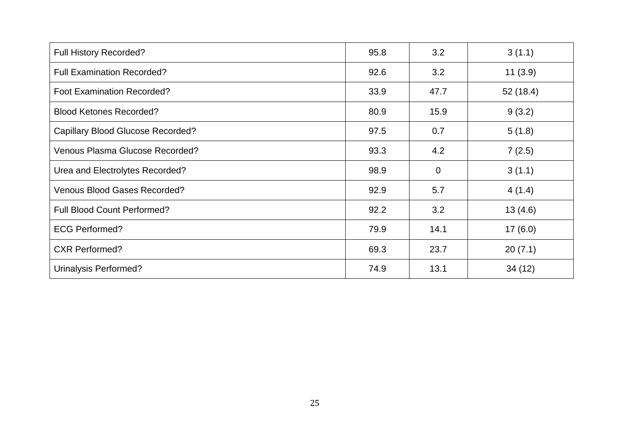| <b>Full History Recorded?</b>            | 95.8 | 3.2         | 3(1.1)   |
|------------------------------------------|------|-------------|----------|
| <b>Full Examination Recorded?</b>        | 92.6 | 3.2         | 11(3.9)  |
| <b>Foot Examination Recorded?</b>        | 33.9 | 47.7        | 52(18.4) |
| <b>Blood Ketones Recorded?</b>           | 80.9 | 15.9        | 9(3.2)   |
| <b>Capillary Blood Glucose Recorded?</b> | 97.5 | 0.7         | 5(1.8)   |
| Venous Plasma Glucose Recorded?          | 93.3 | 4.2         | 7(2.5)   |
| Urea and Electrolytes Recorded?          | 98.9 | $\mathbf 0$ | 3(1.1)   |
| <b>Venous Blood Gases Recorded?</b>      | 92.9 | 5.7         | 4(1.4)   |
| <b>Full Blood Count Performed?</b>       | 92.2 | 3.2         | 13(4.6)  |
| <b>ECG Performed?</b>                    | 79.9 | 14.1        | 17(6.0)  |
| <b>CXR Performed?</b>                    | 69.3 | 23.7        | 20(7.1)  |
| Urinalysis Performed?                    | 74.9 | 13.1        | 34(12)   |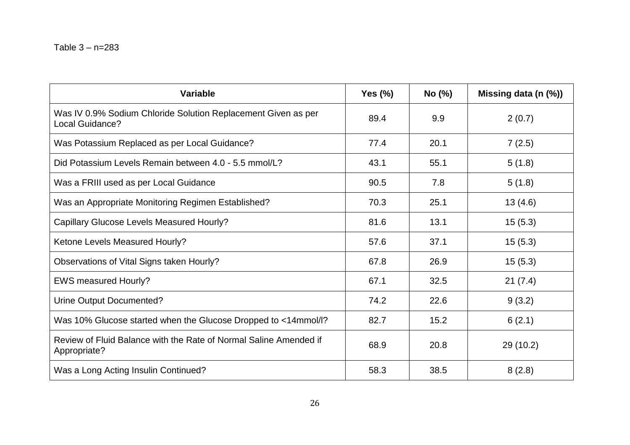| <b>Variable</b>                                                                   | Yes $(\%)$ | No (%) | Missing data (n (%)) |
|-----------------------------------------------------------------------------------|------------|--------|----------------------|
| Was IV 0.9% Sodium Chloride Solution Replacement Given as per<br>Local Guidance?  | 89.4       | 9.9    | 2(0.7)               |
| Was Potassium Replaced as per Local Guidance?                                     | 77.4       | 20.1   | 7(2.5)               |
| Did Potassium Levels Remain between 4.0 - 5.5 mmol/L?                             | 43.1       | 55.1   | 5(1.8)               |
| Was a FRIII used as per Local Guidance                                            | 90.5       | 7.8    | 5(1.8)               |
| Was an Appropriate Monitoring Regimen Established?                                | 70.3       | 25.1   | 13(4.6)              |
| Capillary Glucose Levels Measured Hourly?                                         | 81.6       | 13.1   | 15(5.3)              |
| Ketone Levels Measured Hourly?                                                    | 57.6       | 37.1   | 15(5.3)              |
| Observations of Vital Signs taken Hourly?                                         | 67.8       | 26.9   | 15(5.3)              |
| <b>EWS measured Hourly?</b>                                                       | 67.1       | 32.5   | 21(7.4)              |
| Urine Output Documented?                                                          | 74.2       | 22.6   | 9(3.2)               |
| Was 10% Glucose started when the Glucose Dropped to <14mmol/l?                    | 82.7       | 15.2   | 6(2.1)               |
| Review of Fluid Balance with the Rate of Normal Saline Amended if<br>Appropriate? | 68.9       | 20.8   | 29(10.2)             |
| Was a Long Acting Insulin Continued?                                              | 58.3       | 38.5   | 8(2.8)               |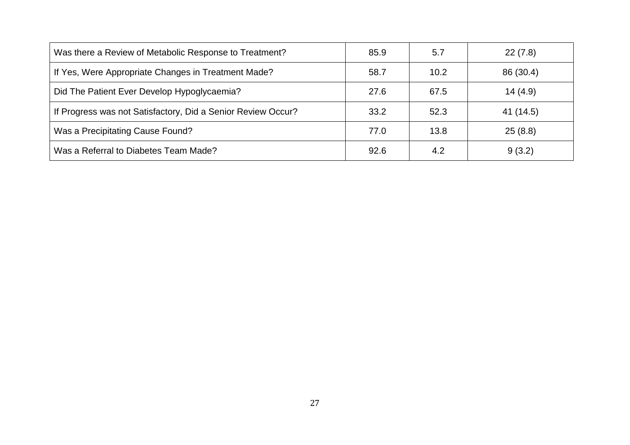| Was there a Review of Metabolic Response to Treatment?       | 85.9 | 5.7  | 22(7.8)   |
|--------------------------------------------------------------|------|------|-----------|
| If Yes, Were Appropriate Changes in Treatment Made?          | 58.7 | 10.2 | 86 (30.4) |
| Did The Patient Ever Develop Hypoglycaemia?                  | 27.6 | 67.5 | 14(4.9)   |
| If Progress was not Satisfactory, Did a Senior Review Occur? | 33.2 | 52.3 | 41 (14.5) |
| Was a Precipitating Cause Found?                             | 77.0 | 13.8 | 25(8.8)   |
| Was a Referral to Diabetes Team Made?                        | 92.6 | 4.2  | 9(3.2)    |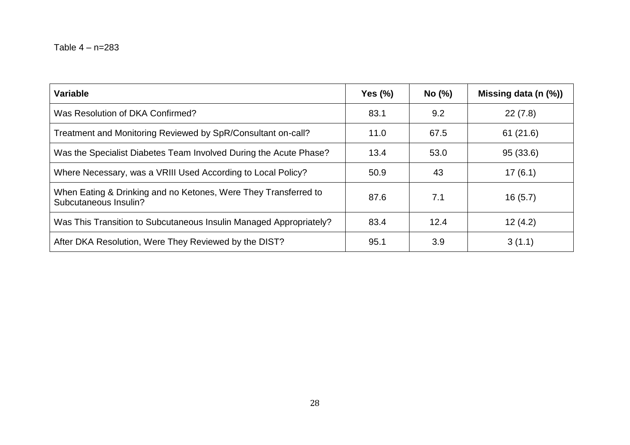| <b>Variable</b>                                                                          | Yes $(\%)$ | No (%) | Missing data (n (%)) |
|------------------------------------------------------------------------------------------|------------|--------|----------------------|
| Was Resolution of DKA Confirmed?                                                         | 83.1       | 9.2    | 22(7.8)              |
| Treatment and Monitoring Reviewed by SpR/Consultant on-call?                             | 11.0       | 67.5   | 61(21.6)             |
| Was the Specialist Diabetes Team Involved During the Acute Phase?                        | 13.4       | 53.0   | 95(33.6)             |
| Where Necessary, was a VRIII Used According to Local Policy?                             | 50.9       | 43     | 17(6.1)              |
| When Eating & Drinking and no Ketones, Were They Transferred to<br>Subcutaneous Insulin? | 87.6       | 7.1    | 16(5.7)              |
| Was This Transition to Subcutaneous Insulin Managed Appropriately?                       | 83.4       | 12.4   | 12(4.2)              |
| After DKA Resolution, Were They Reviewed by the DIST?                                    | 95.1       | 3.9    | 3(1.1)               |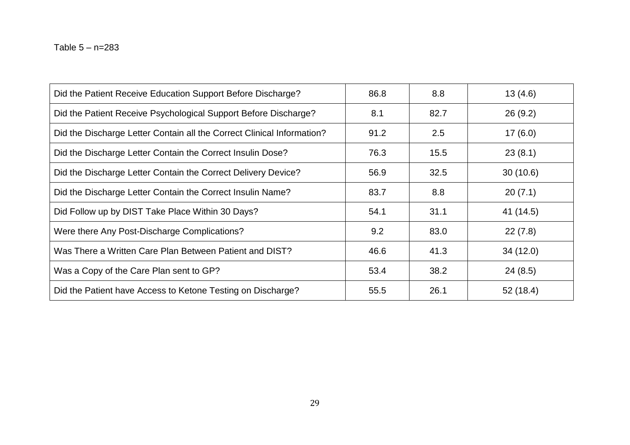| Did the Patient Receive Education Support Before Discharge?            | 86.8 | 8.8  | 13(4.6)   |
|------------------------------------------------------------------------|------|------|-----------|
| Did the Patient Receive Psychological Support Before Discharge?        | 8.1  | 82.7 | 26(9.2)   |
| Did the Discharge Letter Contain all the Correct Clinical Information? | 91.2 | 2.5  | 17(6.0)   |
| Did the Discharge Letter Contain the Correct Insulin Dose?             | 76.3 | 15.5 | 23(8.1)   |
| Did the Discharge Letter Contain the Correct Delivery Device?          | 56.9 | 32.5 | 30(10.6)  |
| Did the Discharge Letter Contain the Correct Insulin Name?             | 83.7 | 8.8  | 20(7.1)   |
| Did Follow up by DIST Take Place Within 30 Days?                       | 54.1 | 31.1 | 41 (14.5) |
| Were there Any Post-Discharge Complications?                           | 9.2  | 83.0 | 22(7.8)   |
| Was There a Written Care Plan Between Patient and DIST?                | 46.6 | 41.3 | 34(12.0)  |
| Was a Copy of the Care Plan sent to GP?                                | 53.4 | 38.2 | 24(8.5)   |
| Did the Patient have Access to Ketone Testing on Discharge?            | 55.5 | 26.1 | 52(18.4)  |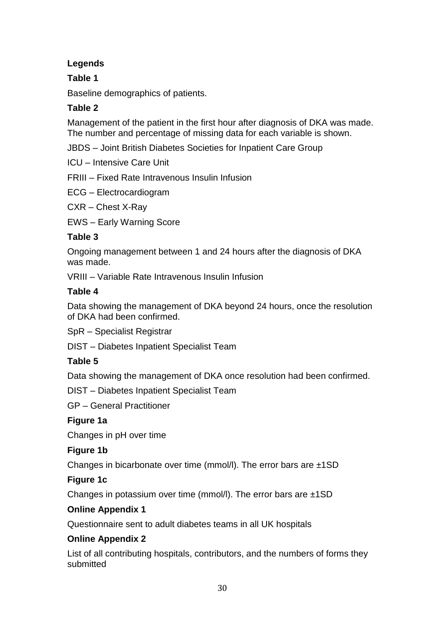# **Legends**

# **Table 1**

Baseline demographics of patients.

# **Table 2**

Management of the patient in the first hour after diagnosis of DKA was made. The number and percentage of missing data for each variable is shown.

JBDS – Joint British Diabetes Societies for Inpatient Care Group

ICU – Intensive Care Unit

FRIII – Fixed Rate Intravenous Insulin Infusion

ECG – Electrocardiogram

CXR – Chest X-Ray

EWS – Early Warning Score

# **Table 3**

Ongoing management between 1 and 24 hours after the diagnosis of DKA was made.

VRIII – Variable Rate Intravenous Insulin Infusion

# **Table 4**

Data showing the management of DKA beyond 24 hours, once the resolution of DKA had been confirmed.

SpR – Specialist Registrar

DIST – Diabetes Inpatient Specialist Team

# **Table 5**

Data showing the management of DKA once resolution had been confirmed.

DIST – Diabetes Inpatient Specialist Team

GP – General Practitioner

# **Figure 1a**

Changes in pH over time

# **Figure 1b**

Changes in bicarbonate over time (mmol/l). The error bars are ±1SD

## **Figure 1c**

Changes in potassium over time (mmol/l). The error bars are ±1SD

# **Online Appendix 1**

Questionnaire sent to adult diabetes teams in all UK hospitals

# **Online Appendix 2**

List of all contributing hospitals, contributors, and the numbers of forms they submitted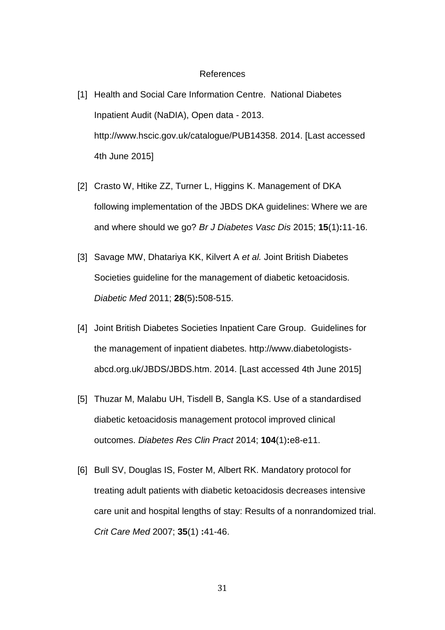#### References

- [1] Health and Social Care Information Centre. National Diabetes Inpatient Audit (NaDIA), Open data - 2013. http://www.hscic.gov.uk/catalogue/PUB14358. 2014. [Last accessed 4th June 2015]
- [2] Crasto W, Htike ZZ, Turner L, Higgins K. Management of DKA following implementation of the JBDS DKA guidelines: Where we are and where should we go? *Br J Diabetes Vasc Dis* 2015; **15**(1)**:**11-16.
- [3] Savage MW, Dhatariya KK, Kilvert A *et al.* Joint British Diabetes Societies guideline for the management of diabetic ketoacidosis. *Diabetic Med* 2011; **28**(5)**:**508-515.
- [4] Joint British Diabetes Societies Inpatient Care Group. Guidelines for the management of inpatient diabetes. http://www.diabetologistsabcd.org.uk/JBDS/JBDS.htm. 2014. [Last accessed 4th June 2015]
- [5] Thuzar M, Malabu UH, Tisdell B, Sangla KS. Use of a standardised diabetic ketoacidosis management protocol improved clinical outcomes. *Diabetes Res Clin Pract* 2014; **104**(1)**:**e8-e11.
- [6] Bull SV, Douglas IS, Foster M, Albert RK. Mandatory protocol for treating adult patients with diabetic ketoacidosis decreases intensive care unit and hospital lengths of stay: Results of a nonrandomized trial. *Crit Care Med* 2007; **35**(1) **:**41-46.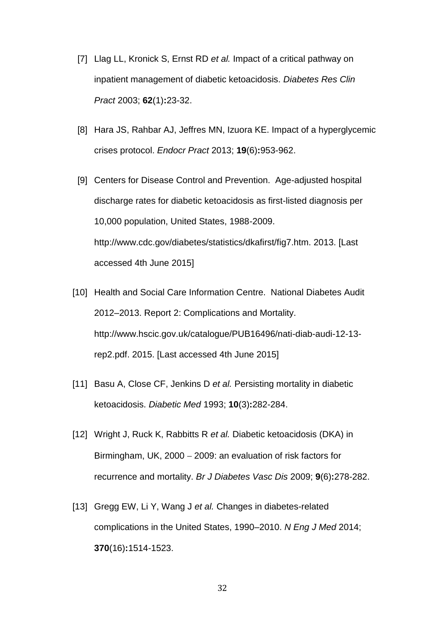- [7] Llag LL, Kronick S, Ernst RD *et al.* Impact of a critical pathway on inpatient management of diabetic ketoacidosis. *Diabetes Res Clin Pract* 2003; **62**(1)**:**23-32.
- [8] Hara JS, Rahbar AJ, Jeffres MN, Izuora KE. Impact of a hyperglycemic crises protocol. *Endocr Pract* 2013; **19**(6)**:**953-962.
- [9] Centers for Disease Control and Prevention. Age-adjusted hospital discharge rates for diabetic ketoacidosis as first-listed diagnosis per 10,000 population, United States, 1988-2009. http://www.cdc.gov/diabetes/statistics/dkafirst/fig7.htm. 2013. [Last accessed 4th June 2015]
- [10] Health and Social Care Information Centre. National Diabetes Audit 2012–2013. Report 2: Complications and Mortality. http://www.hscic.gov.uk/catalogue/PUB16496/nati-diab-audi-12-13 rep2.pdf. 2015. [Last accessed 4th June 2015]
- [11] Basu A, Close CF, Jenkins D *et al.* Persisting mortality in diabetic ketoacidosis. *Diabetic Med* 1993; **10**(3)**:**282-284.
- [12] Wright J, Ruck K, Rabbitts R *et al.* Diabetic ketoacidosis (DKA) in Birmingham, UK, 2000 – 2009: an evaluation of risk factors for recurrence and mortality. *Br J Diabetes Vasc Dis* 2009; **9**(6)**:**278-282.
- [13] Gregg EW, Li Y, Wang J *et al.* Changes in diabetes-related complications in the United States, 1990–2010. *N Eng J Med* 2014; **370**(16)**:**1514-1523.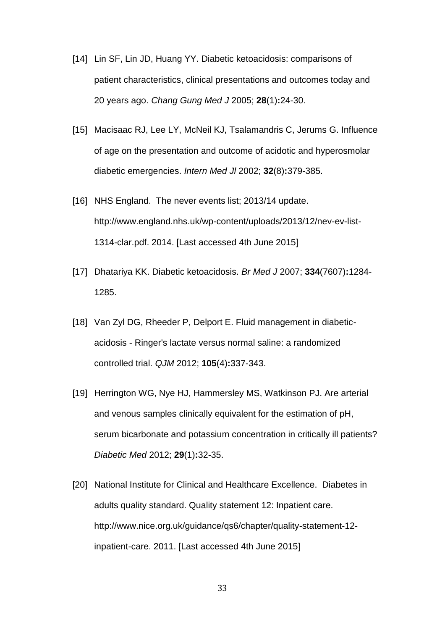- [14] Lin SF, Lin JD, Huang YY. Diabetic ketoacidosis: comparisons of patient characteristics, clinical presentations and outcomes today and 20 years ago. *Chang Gung Med J* 2005; **28**(1)**:**24-30.
- [15] Macisaac RJ, Lee LY, McNeil KJ, Tsalamandris C, Jerums G. Influence of age on the presentation and outcome of acidotic and hyperosmolar diabetic emergencies. *Intern Med Jl* 2002; **32**(8)**:**379-385.
- [16] NHS England. The never events list; 2013/14 update. http://www.england.nhs.uk/wp-content/uploads/2013/12/nev-ev-list-1314-clar.pdf. 2014. [Last accessed 4th June 2015]
- [17] Dhatariya KK. Diabetic ketoacidosis. *Br Med J* 2007; **334**(7607)**:**1284- 1285.
- [18] Van Zyl DG, Rheeder P, Delport E. Fluid management in diabeticacidosis - Ringer's lactate versus normal saline: a randomized controlled trial. *QJM* 2012; **105**(4)**:**337-343.
- [19] Herrington WG, Nye HJ, Hammersley MS, Watkinson PJ. Are arterial and venous samples clinically equivalent for the estimation of pH, serum bicarbonate and potassium concentration in critically ill patients? *Diabetic Med* 2012; **29**(1)**:**32-35.
- [20] National Institute for Clinical and Healthcare Excellence. Diabetes in adults quality standard. Quality statement 12: Inpatient care. http://www.nice.org.uk/guidance/qs6/chapter/quality-statement-12 inpatient-care. 2011. [Last accessed 4th June 2015]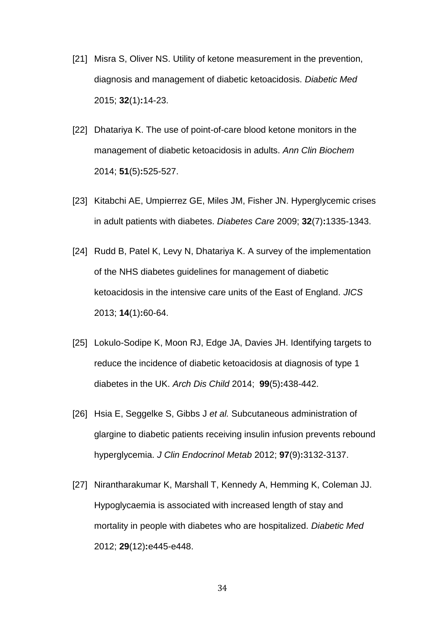- [21] Misra S, Oliver NS. Utility of ketone measurement in the prevention, diagnosis and management of diabetic ketoacidosis. *Diabetic Med* 2015; **32**(1)**:**14-23.
- [22] Dhatariya K. The use of point-of-care blood ketone monitors in the management of diabetic ketoacidosis in adults. *Ann Clin Biochem* 2014; **51**(5)**:**525-527.
- [23] Kitabchi AE, Umpierrez GE, Miles JM, Fisher JN. Hyperglycemic crises in adult patients with diabetes. *Diabetes Care* 2009; **32**(7)**:**1335-1343.
- [24] Rudd B, Patel K, Levy N, Dhatariya K. A survey of the implementation of the NHS diabetes guidelines for management of diabetic ketoacidosis in the intensive care units of the East of England. *JICS* 2013; **14**(1)**:**60-64.
- [25] Lokulo-Sodipe K, Moon RJ, Edge JA, Davies JH. Identifying targets to reduce the incidence of diabetic ketoacidosis at diagnosis of type 1 diabetes in the UK. *Arch Dis Child* 2014; **99**(5)**:**438-442.
- [26] Hsia E, Seggelke S, Gibbs J *et al.* Subcutaneous administration of glargine to diabetic patients receiving insulin infusion prevents rebound hyperglycemia. *J Clin Endocrinol Metab* 2012; **97**(9)**:**3132-3137.
- [27] Nirantharakumar K, Marshall T, Kennedy A, Hemming K, Coleman JJ. Hypoglycaemia is associated with increased length of stay and mortality in people with diabetes who are hospitalized. *Diabetic Med* 2012; **29**(12)**:**e445-e448.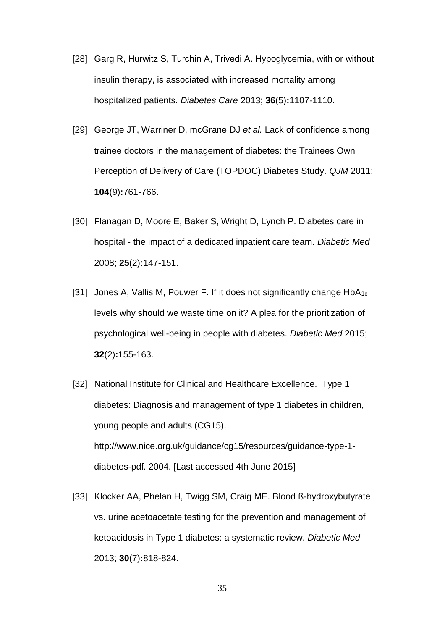- [28] Garg R, Hurwitz S, Turchin A, Trivedi A. Hypoglycemia, with or without insulin therapy, is associated with increased mortality among hospitalized patients. *Diabetes Care* 2013; **36**(5)**:**1107-1110.
- [29] George JT, Warriner D, mcGrane DJ *et al.* Lack of confidence among trainee doctors in the management of diabetes: the Trainees Own Perception of Delivery of Care (TOPDOC) Diabetes Study. *QJM* 2011; **104**(9)**:**761-766.
- [30] Flanagan D, Moore E, Baker S, Wright D, Lynch P. Diabetes care in hospital - the impact of a dedicated inpatient care team. *Diabetic Med* 2008; **25**(2)**:**147-151.
- [31] Jones A, Vallis M, Pouwer F. If it does not significantly change HbA<sub>1c</sub> levels why should we waste time on it? A plea for the prioritization of psychological well-being in people with diabetes. *Diabetic Med* 2015; **32**(2)**:**155-163.
- [32] National Institute for Clinical and Healthcare Excellence. Type 1 diabetes: Diagnosis and management of type 1 diabetes in children, young people and adults (CG15). http://www.nice.org.uk/guidance/cg15/resources/guidance-type-1 diabetes-pdf. 2004. [Last accessed 4th June 2015]
- [33] Klocker AA, Phelan H, Twigg SM, Craig ME. Blood ß-hydroxybutyrate vs. urine acetoacetate testing for the prevention and management of ketoacidosis in Type 1 diabetes: a systematic review. *Diabetic Med* 2013; **30**(7)**:**818-824.